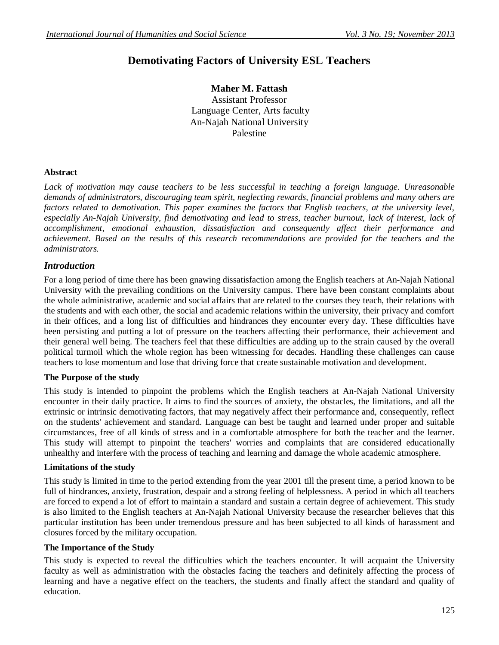# **Demotivating Factors of University ESL Teachers**

**Maher M. Fattash** Assistant Professor Language Center, Arts faculty An-Najah National University Palestine

### **Abstract**

Lack of motivation may cause teachers to be less successful in teaching a foreign language. Unreasonable *demands of administrators, discouraging team spirit, neglecting rewards, financial problems and many others are*  factors related to demotivation. This paper examines the factors that English teachers, at the university level, especially An-Najah University, find demotivating and lead to stress, teacher burnout, lack of interest, lack of *accomplishment, emotional exhaustion, dissatisfaction and consequently affect their performance and achievement. Based on the results of this research recommendations are provided for the teachers and the administrators.* 

### *Introduction*

For a long period of time there has been gnawing dissatisfaction among the English teachers at An-Najah National University with the prevailing conditions on the University campus. There have been constant complaints about the whole administrative, academic and social affairs that are related to the courses they teach, their relations with the students and with each other, the social and academic relations within the university, their privacy and comfort in their offices, and a long list of difficulties and hindrances they encounter every day. These difficulties have been persisting and putting a lot of pressure on the teachers affecting their performance, their achievement and their general well being. The teachers feel that these difficulties are adding up to the strain caused by the overall political turmoil which the whole region has been witnessing for decades. Handling these challenges can cause teachers to lose momentum and lose that driving force that create sustainable motivation and development.

#### **The Purpose of the study**

This study is intended to pinpoint the problems which the English teachers at An-Najah National University encounter in their daily practice. It aims to find the sources of anxiety, the obstacles, the limitations, and all the extrinsic or intrinsic demotivating factors, that may negatively affect their performance and, consequently, reflect on the students' achievement and standard. Language can best be taught and learned under proper and suitable circumstances, free of all kinds of stress and in a comfortable atmosphere for both the teacher and the learner. This study will attempt to pinpoint the teachers' worries and complaints that are considered educationally unhealthy and interfere with the process of teaching and learning and damage the whole academic atmosphere.

#### **Limitations of the study**

This study is limited in time to the period extending from the year 2001 till the present time, a period known to be full of hindrances, anxiety, frustration, despair and a strong feeling of helplessness. A period in which all teachers are forced to expend a lot of effort to maintain a standard and sustain a certain degree of achievement. This study is also limited to the English teachers at An-Najah National University because the researcher believes that this particular institution has been under tremendous pressure and has been subjected to all kinds of harassment and closures forced by the military occupation.

#### **The Importance of the Study**

This study is expected to reveal the difficulties which the teachers encounter. It will acquaint the University faculty as well as administration with the obstacles facing the teachers and definitely affecting the process of learning and have a negative effect on the teachers, the students and finally affect the standard and quality of education.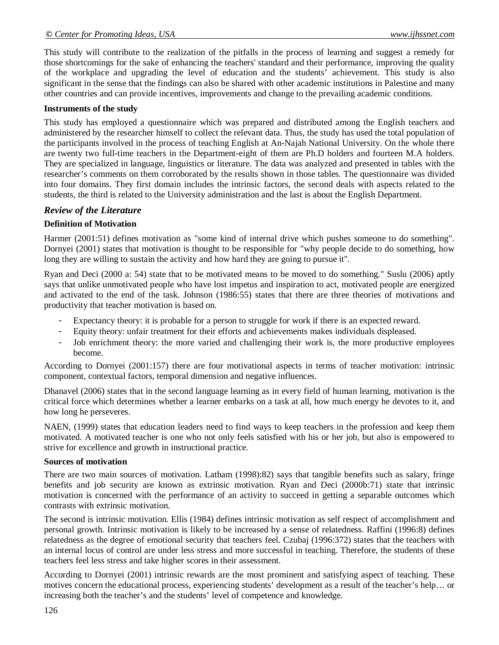This study will contribute to the realization of the pitfalls in the process of learning and suggest a remedy for those shortcomings for the sake of enhancing the teachers' standard and their performance, improving the quality of the workplace and upgrading the level of education and the students' achievement. This study is also significant in the sense that the findings can also be shared with other academic institutions in Palestine and many other countries and can provide incentives, improvements and change to the prevailing academic conditions.

### **Instruments of the study**

This study has employed a questionnaire which was prepared and distributed among the English teachers and administered by the researcher himself to collect the relevant data. Thus, the study has used the total population of the participants involved in the process of teaching English at An-Najah National University. On the whole there are twenty two full-time teachers in the Department-eight of them are Ph.D holders and fourteen M.A holders. They are specialized in language, linguistics or literature. The data was analyzed and presented in tables with the researcher's comments on them corroborated by the results shown in those tables. The questionnaire was divided into four domains. They first domain includes the intrinsic factors, the second deals with aspects related to the students, the third is related to the University administration and the last is about the English Department.

# *Review of the Literature*

# **Definition of Motivation**

Harmer (2001:51) defines motivation as "some kind of internal drive which pushes someone to do something". Dornyei (2001) states that motivation is thought to be responsible for "why people decide to do something, how long they are willing to sustain the activity and how hard they are going to pursue it".

Ryan and Deci (2000 a: 54) state that to be motivated means to be moved to do something." Suslu (2006) aptly says that unlike unmotivated people who have lost impetus and inspiration to act, motivated people are energized and activated to the end of the task. Johnson (1986:55) states that there are three theories of motivations and productivity that teacher motivation is based on.

- Expectancy theory: it is probable for a person to struggle for work if there is an expected reward.
- Equity theory: unfair treatment for their efforts and achievements makes individuals displeased.
- Job enrichment theory: the more varied and challenging their work is, the more productive employees become.

According to Dornyei (2001:157) there are four motivational aspects in terms of teacher motivation: intrinsic component, contextual factors, temporal dimension and negative influences.

Dhanavel (2006) states that in the second language learning as in every field of human learning, motivation is the critical force which determines whether a learner embarks on a task at all, how much energy he devotes to it, and how long he perseveres.

NAEN, (1999) states that education leaders need to find ways to keep teachers in the profession and keep them motivated. A motivated teacher is one who not only feels satisfied with his or her job, but also is empowered to strive for excellence and growth in instructional practice.

#### **Sources of motivation**

There are two main sources of motivation. Latham (1998):82) says that tangible benefits such as salary, fringe benefits and job security are known as extrinsic motivation. Ryan and Deci (2000b:71) state that intrinsic motivation is concerned with the performance of an activity to succeed in getting a separable outcomes which contrasts with extrinsic motivation.

The second is intrinsic motivation. Ellis (1984) defines intrinsic motivation as self respect of accomplishment and personal growth. Intrinsic motivation is likely to be increased by a sense of relatedness. Raffini (1996:8) defines relatedness as the degree of emotional security that teachers feel. Czubaj (1996:372) states that the teachers with an internal locus of control are under less stress and more successful in teaching. Therefore, the students of these teachers feel less stress and take higher scores in their assessment.

According to Dornyei (2001) intrinsic rewards are the most prominent and satisfying aspect of teaching. These motives concern the educational process, experiencing students' development as a result of the teacher's help… or increasing both the teacher's and the students' level of competence and knowledge.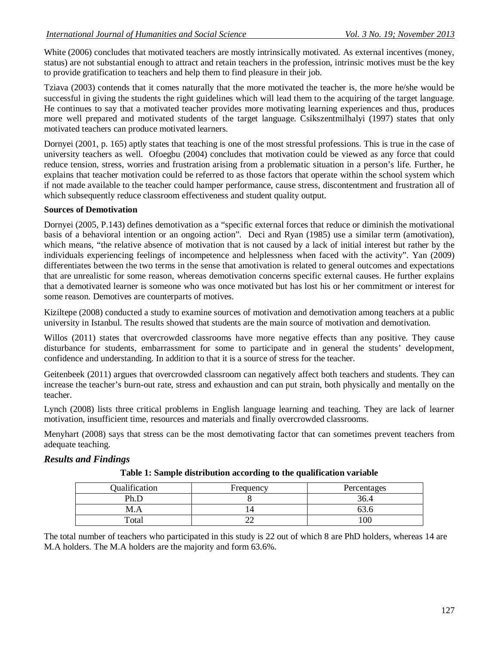White (2006) concludes that motivated teachers are mostly intrinsically motivated. As external incentives (money, status) are not substantial enough to attract and retain teachers in the profession, intrinsic motives must be the key to provide gratification to teachers and help them to find pleasure in their job.

Tziava (2003) contends that it comes naturally that the more motivated the teacher is, the more he/she would be successful in giving the students the right guidelines which will lead them to the acquiring of the target language. He continues to say that a motivated teacher provides more motivating learning experiences and thus, produces more well prepared and motivated students of the target language. Csikszentmilhalyi (1997) states that only motivated teachers can produce motivated learners.

Dornyei (2001, p. 165) aptly states that teaching is one of the most stressful professions. This is true in the case of university teachers as well. Ofoegbu (2004) concludes that motivation could be viewed as any force that could reduce tension, stress, worries and frustration arising from a problematic situation in a person's life. Further, he explains that teacher motivation could be referred to as those factors that operate within the school system which if not made available to the teacher could hamper performance, cause stress, discontentment and frustration all of which subsequently reduce classroom effectiveness and student quality output.

# **Sources of Demotivation**

Dornyei (2005, P.143) defines demotivation as a "specific external forces that reduce or diminish the motivational basis of a behavioral intention or an ongoing action". Deci and Ryan (1985) use a similar term (amotivation), which means, "the relative absence of motivation that is not caused by a lack of initial interest but rather by the individuals experiencing feelings of incompetence and helplessness when faced with the activity". Yan (2009) differentiates between the two terms in the sense that amotivation is related to general outcomes and expectations that are unrealistic for some reason, whereas demotivation concerns specific external causes. He further explains that a demotivated learner is someone who was once motivated but has lost his or her commitment or interest for some reason. Demotives are counterparts of motives.

Kiziltepe (2008) conducted a study to examine sources of motivation and demotivation among teachers at a public university in Istanbul. The results showed that students are the main source of motivation and demotivation.

Willos (2011) states that overcrowded classrooms have more negative effects than any positive. They cause disturbance for students, embarrassment for some to participate and in general the students' development, confidence and understanding. In addition to that it is a source of stress for the teacher.

Geitenbeek (2011) argues that overcrowded classroom can negatively affect both teachers and students. They can increase the teacher's burn-out rate, stress and exhaustion and can put strain, both physically and mentally on the teacher.

Lynch (2008) lists three critical problems in English language learning and teaching. They are lack of learner motivation, insufficient time, resources and materials and finally overcrowded classrooms.

Menyhart (2008) says that stress can be the most demotivating factor that can sometimes prevent teachers from adequate teaching.

# *Results and Findings*

| Qualification | Frequency | Percentages |
|---------------|-----------|-------------|
| Ph F          |           | 36.         |
| M.A           |           |             |
| Total         |           | $\alpha$    |

**Table 1: Sample distribution according to the qualification variable**

The total number of teachers who participated in this study is 22 out of which 8 are PhD holders, whereas 14 are M.A holders. The M.A holders are the majority and form 63.6%.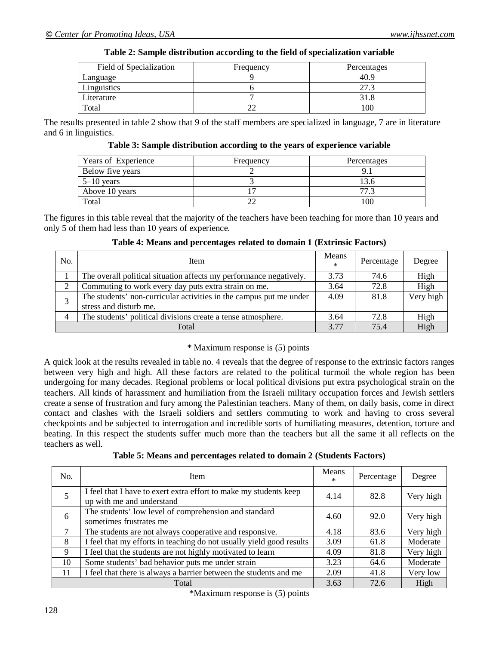| Field of Specialization | Frequency | Percentages |
|-------------------------|-----------|-------------|
| Language                |           | 40.9        |
| Linguistics             |           | 27          |
| Literature              |           |             |
| Total                   |           | 00          |

#### **Table 2: Sample distribution according to the field of specialization variable**

The results presented in table 2 show that 9 of the staff members are specialized in language, 7 are in literature and 6 in linguistics.

**Table 3: Sample distribution according to the years of experience variable**

| Years of Experience | Frequency | Percentages |
|---------------------|-----------|-------------|
| Below five years    |           |             |
| $5 - 10$ years      |           | l3.6        |
| Above 10 years      |           | 77          |
| Total               |           | l OC        |

The figures in this table reveal that the majority of the teachers have been teaching for more than 10 years and only 5 of them had less than 10 years of experience.

| No. | Item                                                               | Means<br>$\ast$ | Percentage | Degree    |
|-----|--------------------------------------------------------------------|-----------------|------------|-----------|
|     | The overall political situation affects my performance negatively. | 3.73            | 74.6       | High      |
|     | Commuting to work every day puts extra strain on me.               | 3.64            | 72.8       | High      |
|     | The students' non-curricular activities in the campus put me under | 4.09            | 81.8       | Very high |
|     | stress and disturb me.                                             |                 |            |           |
| 4   | The students' political divisions create a tense atmosphere.       | 3.64            | 72.8       | High      |
|     | Total                                                              | 3.77            | 75.4       | High      |

# **Table 4: Means and percentages related to domain 1 (Extrinsic Factors)**

#### \* Maximum response is (5) points

A quick look at the results revealed in table no. 4 reveals that the degree of response to the extrinsic factors ranges between very high and high. All these factors are related to the political turmoil the whole region has been undergoing for many decades. Regional problems or local political divisions put extra psychological strain on the teachers. All kinds of harassment and humiliation from the Israeli military occupation forces and Jewish settlers create a sense of frustration and fury among the Palestinian teachers. Many of them, on daily basis, come in direct contact and clashes with the Israeli soldiers and settlers commuting to work and having to cross several checkpoints and be subjected to interrogation and incredible sorts of humiliating measures, detention, torture and beating. In this respect the students suffer much more than the teachers but all the same it all reflects on the teachers as well.

| Table 5: Means and percentages related to domain 2 (Students Factors) |  |  |
|-----------------------------------------------------------------------|--|--|
|-----------------------------------------------------------------------|--|--|

| No. | Item                                                                                           | Means<br>$\ast$ | Percentage | Degree    |
|-----|------------------------------------------------------------------------------------------------|-----------------|------------|-----------|
|     | I feel that I have to exert extra effort to make my students keep<br>up with me and understand | 4.14            | 82.8       | Very high |
| 6   | The students' low level of comprehension and standard<br>sometimes frustrates me               | 4.60            | 92.0       | Very high |
|     | The students are not always cooperative and responsive.                                        | 4.18            | 83.6       | Very high |
| 8   | I feel that my efforts in teaching do not usually yield good results                           | 3.09            | 61.8       | Moderate  |
| 9   | I feel that the students are not highly motivated to learn                                     |                 | 81.8       | Very high |
| 10  | Some students' bad behavior puts me under strain                                               |                 | 64.6       | Moderate  |
| 11  | I feel that there is always a barrier between the students and me                              | 2.09            | 41.8       | Very low  |
|     | Total                                                                                          | 3.63            | 72.6       | High      |

\*Maximum response is (5) points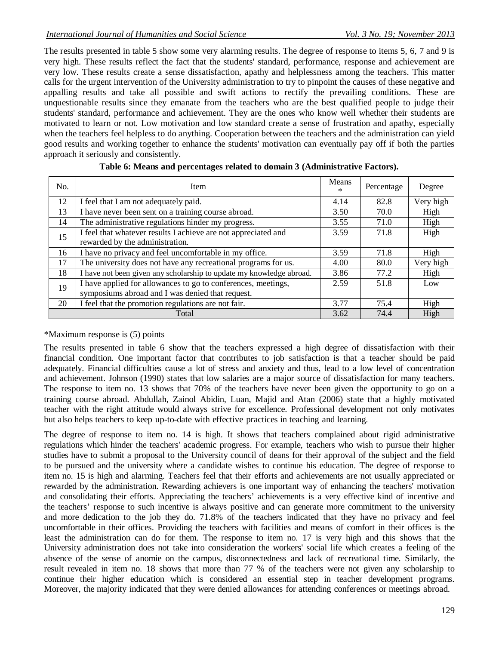The results presented in table 5 show some very alarming results. The degree of response to items 5, 6, 7 and 9 is very high. These results reflect the fact that the students' standard, performance, response and achievement are very low. These results create a sense dissatisfaction, apathy and helplessness among the teachers. This matter calls for the urgent intervention of the University administration to try to pinpoint the causes of these negative and appalling results and take all possible and swift actions to rectify the prevailing conditions. These are unquestionable results since they emanate from the teachers who are the best qualified people to judge their students' standard, performance and achievement. They are the ones who know well whether their students are motivated to learn or not. Low motivation and low standard create a sense of frustration and apathy, especially when the teachers feel helpless to do anything. Cooperation between the teachers and the administration can yield good results and working together to enhance the students' motivation can eventually pay off if both the parties approach it seriously and consistently.

| No. | Item                                                                 | Means<br>$\ast$ | Percentage | Degree    |
|-----|----------------------------------------------------------------------|-----------------|------------|-----------|
| 12  | I feel that I am not adequately paid.                                | 4.14            | 82.8       | Very high |
| 13  | I have never been sent on a training course abroad.                  | 3.50            | 70.0       | High      |
| 14  | The administrative regulations hinder my progress.                   | 3.55            | 71.0       | High      |
| 15  | I feel that whatever results I achieve are not appreciated and       | 3.59            | 71.8       | High      |
|     | rewarded by the administration.                                      |                 |            |           |
| 16  | I have no privacy and feel uncomfortable in my office.               | 3.59            | 71.8       | High      |
| 17  | The university does not have any recreational programs for us.       |                 | 80.0       | Very high |
| 18  | I have not been given any scholarship to update my knowledge abroad. | 3.86            | 77.2       | High      |
| 19  | I have applied for allowances to go to conferences, meetings,        | 2.59            | 51.8       | Low       |
|     | symposiums abroad and I was denied that request.                     |                 |            |           |
| 20  | I feel that the promotion regulations are not fair.                  | 3.77            | 75.4       | High      |
|     | Total                                                                | 3.62            | 74.4       | High      |

| Table 6: Means and percentages related to domain 3 (Administrative Factors). |  |  |  |  |  |
|------------------------------------------------------------------------------|--|--|--|--|--|
|------------------------------------------------------------------------------|--|--|--|--|--|

# \*Maximum response is (5) points

The results presented in table 6 show that the teachers expressed a high degree of dissatisfaction with their financial condition. One important factor that contributes to job satisfaction is that a teacher should be paid adequately. Financial difficulties cause a lot of stress and anxiety and thus, lead to a low level of concentration and achievement. Johnson (1990) states that low salaries are a major source of dissatisfaction for many teachers. The response to item no. 13 shows that 70% of the teachers have never been given the opportunity to go on a training course abroad. Abdullah, Zainol Abidin, Luan, Majid and Atan (2006) state that a highly motivated teacher with the right attitude would always strive for excellence. Professional development not only motivates but also helps teachers to keep up-to-date with effective practices in teaching and learning.

The degree of response to item no. 14 is high. It shows that teachers complained about rigid administrative regulations which hinder the teachers' academic progress. For example, teachers who wish to pursue their higher studies have to submit a proposal to the University council of deans for their approval of the subject and the field to be pursued and the university where a candidate wishes to continue his education. The degree of response to item no. 15 is high and alarming. Teachers feel that their efforts and achievements are not usually appreciated or rewarded by the administration. Rewarding achievers is one important way of enhancing the teachers' motivation and consolidating their efforts. Appreciating the teachers' achievements is a very effective kind of incentive and the teachers' response to such incentive is always positive and can generate more commitment to the university and more dedication to the job they do. 71.8% of the teachers indicated that they have no privacy and feel uncomfortable in their offices. Providing the teachers with facilities and means of comfort in their offices is the least the administration can do for them. The response to item no. 17 is very high and this shows that the University administration does not take into consideration the workers' social life which creates a feeling of the absence of the sense of anomie on the campus, disconnectedness and lack of recreational time. Similarly, the result revealed in item no. 18 shows that more than 77 % of the teachers were not given any scholarship to continue their higher education which is considered an essential step in teacher development programs. Moreover, the majority indicated that they were denied allowances for attending conferences or meetings abroad.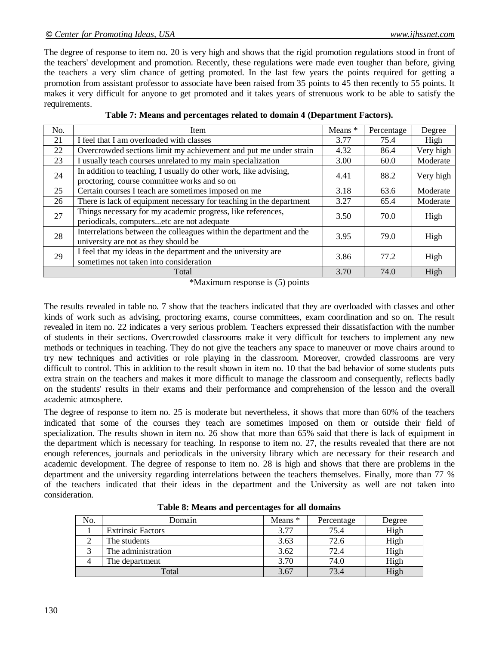#### *© Center for Promoting Ideas, USA www.ijhssnet.com*

The degree of response to item no. 20 is very high and shows that the rigid promotion regulations stood in front of the teachers' development and promotion. Recently, these regulations were made even tougher than before, giving the teachers a very slim chance of getting promoted. In the last few years the points required for getting a promotion from assistant professor to associate have been raised from 35 points to 45 then recently to 55 points. It makes it very difficult for anyone to get promoted and it takes years of strenuous work to be able to satisfy the requirements.

| No. | Item                                                                                                             | Means * | Percentage | Degree    |
|-----|------------------------------------------------------------------------------------------------------------------|---------|------------|-----------|
| 21  | I feel that I am overloaded with classes                                                                         | 3.77    | 75.4       | High      |
| 22  | Overcrowded sections limit my achievement and put me under strain                                                | 4.32    | 86.4       | Very high |
| 23  | I usually teach courses unrelated to my main specialization                                                      | 3.00    | 60.0       | Moderate  |
| 24  | In addition to teaching, I usually do other work, like advising,<br>proctoring, course committee works and so on | 4.41    | 88.2       | Very high |
| 25  | Certain courses I teach are sometimes imposed on me                                                              | 3.18    | 63.6       | Moderate  |
| 26  | There is lack of equipment necessary for teaching in the department                                              |         | 65.4       | Moderate  |
| 27  | Things necessary for my academic progress, like references,<br>periodicals, computersetc are not adequate        | 3.50    | 70.0       | High      |
| 28  | Interrelations between the colleagues within the department and the<br>university are not as they should be      | 3.95    | 79.0       | High      |
| 29  | I feel that my ideas in the department and the university are<br>sometimes not taken into consideration          | 3.86    | 77.2       | High      |
|     | Total                                                                                                            | 3.70    | 74.0       | High      |

|  |  | Table 7: Means and percentages related to domain 4 (Department Factors). |  |
|--|--|--------------------------------------------------------------------------|--|
|  |  |                                                                          |  |
|  |  |                                                                          |  |

\*Maximum response is (5) points

The results revealed in table no. 7 show that the teachers indicated that they are overloaded with classes and other kinds of work such as advising, proctoring exams, course committees, exam coordination and so on. The result revealed in item no. 22 indicates a very serious problem. Teachers expressed their dissatisfaction with the number of students in their sections. Overcrowded classrooms make it very difficult for teachers to implement any new methods or techniques in teaching. They do not give the teachers any space to maneuver or move chairs around to try new techniques and activities or role playing in the classroom. Moreover, crowded classrooms are very difficult to control. This in addition to the result shown in item no. 10 that the bad behavior of some students puts extra strain on the teachers and makes it more difficult to manage the classroom and consequently, reflects badly on the students' results in their exams and their performance and comprehension of the lesson and the overall academic atmosphere.

The degree of response to item no. 25 is moderate but nevertheless, it shows that more than 60% of the teachers indicated that some of the courses they teach are sometimes imposed on them or outside their field of specialization. The results shown in item no. 26 show that more than 65% said that there is lack of equipment in the department which is necessary for teaching. In response to item no. 27, the results revealed that there are not enough references, journals and periodicals in the university library which are necessary for their research and academic development. The degree of response to item no. 28 is high and shows that there are problems in the department and the university regarding interrelations between the teachers themselves. Finally, more than 77 % of the teachers indicated that their ideas in the department and the University as well are not taken into consideration.

| No. | Domain                   | Means $*$ | Percentage | Degree |
|-----|--------------------------|-----------|------------|--------|
|     | <b>Extrinsic Factors</b> | 3.77      | 75.4       | High   |
|     | The students             | 3.63      | 72.6       | High   |
|     | The administration       | 3.62      | 72.4       | High   |
|     | The department           | 3.70      | 74.0       | High   |
|     | Total                    | 3.67      | 73.4       | High   |

**Table 8: Means and percentages for all domains**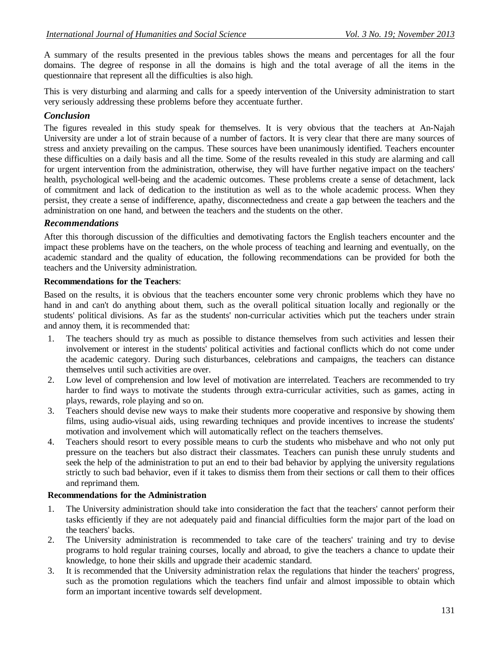A summary of the results presented in the previous tables shows the means and percentages for all the four domains. The degree of response in all the domains is high and the total average of all the items in the questionnaire that represent all the difficulties is also high.

This is very disturbing and alarming and calls for a speedy intervention of the University administration to start very seriously addressing these problems before they accentuate further.

# *Conclusion*

The figures revealed in this study speak for themselves. It is very obvious that the teachers at An-Najah University are under a lot of strain because of a number of factors. It is very clear that there are many sources of stress and anxiety prevailing on the campus. These sources have been unanimously identified. Teachers encounter these difficulties on a daily basis and all the time. Some of the results revealed in this study are alarming and call for urgent intervention from the administration, otherwise, they will have further negative impact on the teachers' health, psychological well-being and the academic outcomes. These problems create a sense of detachment, lack of commitment and lack of dedication to the institution as well as to the whole academic process. When they persist, they create a sense of indifference, apathy, disconnectedness and create a gap between the teachers and the administration on one hand, and between the teachers and the students on the other.

# *Recommendations*

After this thorough discussion of the difficulties and demotivating factors the English teachers encounter and the impact these problems have on the teachers, on the whole process of teaching and learning and eventually, on the academic standard and the quality of education, the following recommendations can be provided for both the teachers and the University administration.

# **Recommendations for the Teachers**:

Based on the results, it is obvious that the teachers encounter some very chronic problems which they have no hand in and can't do anything about them, such as the overall political situation locally and regionally or the students' political divisions. As far as the students' non-curricular activities which put the teachers under strain and annoy them, it is recommended that:

- 1. The teachers should try as much as possible to distance themselves from such activities and lessen their involvement or interest in the students' political activities and factional conflicts which do not come under the academic category. During such disturbances, celebrations and campaigns, the teachers can distance themselves until such activities are over.
- 2. Low level of comprehension and low level of motivation are interrelated. Teachers are recommended to try harder to find ways to motivate the students through extra-curricular activities, such as games, acting in plays, rewards, role playing and so on.
- 3. Teachers should devise new ways to make their students more cooperative and responsive by showing them films, using audio-visual aids, using rewarding techniques and provide incentives to increase the students' motivation and involvement which will automatically reflect on the teachers themselves.
- 4. Teachers should resort to every possible means to curb the students who misbehave and who not only put pressure on the teachers but also distract their classmates. Teachers can punish these unruly students and seek the help of the administration to put an end to their bad behavior by applying the university regulations strictly to such bad behavior, even if it takes to dismiss them from their sections or call them to their offices and reprimand them.

# **Recommendations for the Administration**

- 1. The University administration should take into consideration the fact that the teachers' cannot perform their tasks efficiently if they are not adequately paid and financial difficulties form the major part of the load on the teachers' backs.
- 2. The University administration is recommended to take care of the teachers' training and try to devise programs to hold regular training courses, locally and abroad, to give the teachers a chance to update their knowledge, to hone their skills and upgrade their academic standard.
- 3. It is recommended that the University administration relax the regulations that hinder the teachers' progress, such as the promotion regulations which the teachers find unfair and almost impossible to obtain which form an important incentive towards self development.